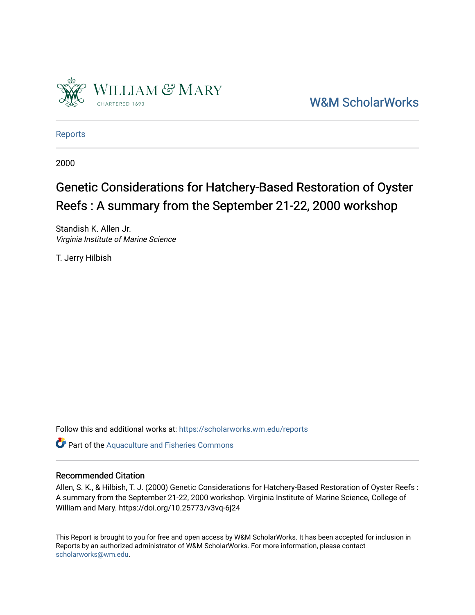

[W&M ScholarWorks](https://scholarworks.wm.edu/) 

[Reports](https://scholarworks.wm.edu/reports)

2000

# Genetic Considerations for Hatchery-Based Restoration of Oyster Reefs : A summary from the September 21-22, 2000 workshop

Standish K. Allen Jr. Virginia Institute of Marine Science

T. Jerry Hilbish

Follow this and additional works at: [https://scholarworks.wm.edu/reports](https://scholarworks.wm.edu/reports?utm_source=scholarworks.wm.edu%2Freports%2F2006&utm_medium=PDF&utm_campaign=PDFCoverPages)

Part of the [Aquaculture and Fisheries Commons](http://network.bepress.com/hgg/discipline/78?utm_source=scholarworks.wm.edu%2Freports%2F2006&utm_medium=PDF&utm_campaign=PDFCoverPages)

#### Recommended Citation

Allen, S. K., & Hilbish, T. J. (2000) Genetic Considerations for Hatchery-Based Restoration of Oyster Reefs : A summary from the September 21-22, 2000 workshop. Virginia Institute of Marine Science, College of William and Mary. https://doi.org/10.25773/v3vq-6j24

This Report is brought to you for free and open access by W&M ScholarWorks. It has been accepted for inclusion in Reports by an authorized administrator of W&M ScholarWorks. For more information, please contact [scholarworks@wm.edu.](mailto:scholarworks@wm.edu)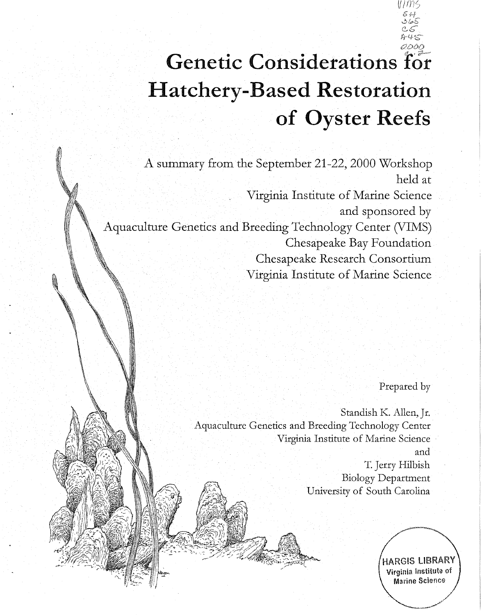# **Genetic Considerations** for **Hatchery-Based Restoration of Oyster Reefs**

A summary from the September 21-22, 2000 Workshop held at Virginia Institute of Marine Science and sponsored by Aquaculture Genetics and Breeding Technology Center (VIMS) Chesapeake Bay Foundation Chesapeake Research Consortium Virginia Institute of Marine Science

Prepared by

*U!* 

Standish K. Allen, Jr. Aquaculture Genetics and Breeding Technology Center Virginia Institute of Marine Science and T. Jerry Hilbish Biology Department University of South Carolina

/ HARGIS LIBRARY Virginia Institute of Marine Science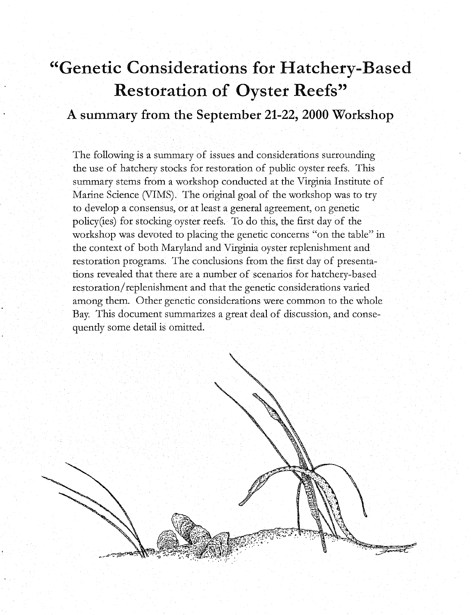# **"Genetic Considerations for Hatchery-Based Restoration of Oyster Reefs"**

# **A summary from the September 21-22, 2000 Workshop**

The following is a summary of issues and considerations surrounding the use of hatchery stocks for restoration of public oyster reefs. This summary stems from a workshop conducted at the Virginia Institute of Marine Science (VIMS). The original goal of the workshop was to try to develop a consensus, or at least a general agreement, on genetic policy(ies) for stocking oyster reefs. To do this, the first day of the workshop was devoted to placing the genetic concerns "on the table" in the context of both Maryland and Virginia oyster replenishment and restoration programs. The conclusions from the first day of presentations revealed that there are a number of scenarios for hatchery-based restoration/ replenishment and that the genetic considerations varied among them. Other genetic considerations were common to the whole Bay. This document summarizes a great deal of discussion, and consequently some detail is omitted.

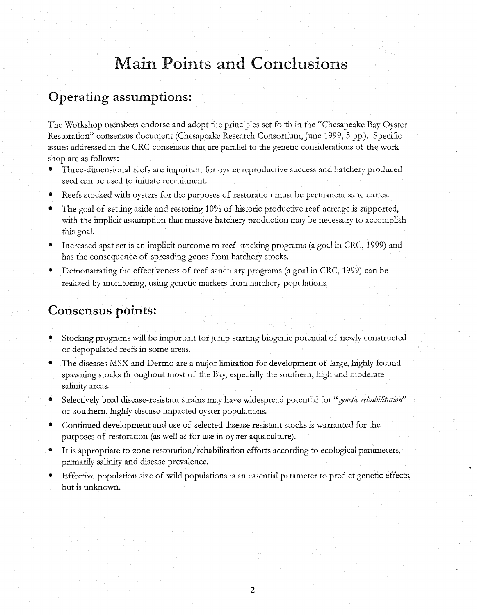# **Main Points and Conclusions**

### **Operating assumptions:**

The Workshop members endorse and adopt the principles set forth in the "Chesapeake Bay Oyster Restoration" consensus document (Chesapeake Research Consortium, June 1999, 5 pp.). Specific issues addressed in the CRC consensus that are parallel to the genetic considerations of the workshop are as follows:

- Three-dimensional reefs are important for oyster reproductive success and hatchery produced seed can be used to initiate recruitment.
- Reefs stocked with oysters for the purposes of restoration must be permanent sanctuaries.
- The goal of setting aside and restoring 10% of historic productive reef acreage is supported, with the implicit assumption that massive hatchery production may be necessary to accomplish this goal.
- Increased spat set is an implicit outcome to reef stocking programs (a goal in CRC, 1999) and has the consequence of spreading genes from hatchery stocks.
- Demonstrating the effectiveness of reef sanctuary programs (a goal in CRC, 1999) can be realized by monitoring, using genetic markers from hatchery populations.

### **Consensus points:**

- Stocking programs will be important for jump starting biogenic potential of newly constructed or depopulated reefs in some areas.
- The diseases MSX and Dermo are a major limitation for development of large, highly fecund spawning stocks throughout most of the Bay, especially the southern, high and moderate salinity areas.
- Selectively bred disease-resistant strains may have widespread potential for *"genetic rehabilitation"*  of southern, highly disease-impacted oyster populations.
- Continued development and use of selected disease resistant stocks is warranted for the purposes of restoration (as well as for use in oyster aquaculture).
- It is appropriate to zone restoration/rehabilitation efforts according to ecological parameters, primarily salinity and disease prevalence.
- Effective population size of wild populations is an essential parameter to predict genetic effects, but is unknown.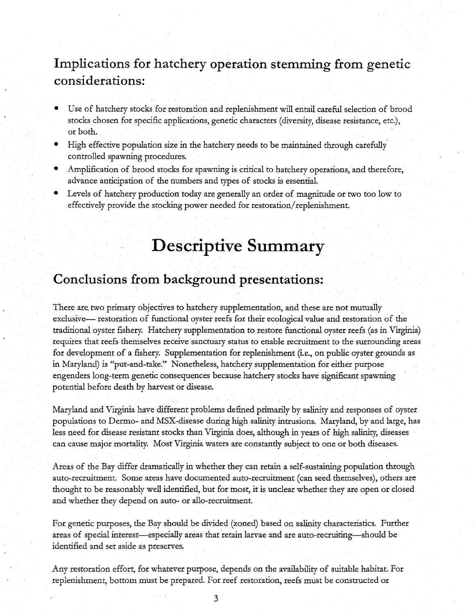# **Implications for hatchery operation stemming from** genetic **considerations:**

- Use of hatchery stocks for restoration and replenishment will entail careful selection of brood stocks chosen for specific applications, genetic characters ( diversity, disease resistance, etc.), or both.
- High effective population size in the hatchery needs to be maintained through carefully controlled spawning procedures.
- Amplification of brood stocks for spawning is critical to hatchery operations, and therefore, advance anticipation of the numbers and types of stocks is essential.
- Levels of hatchery production today are generally an order of magnitude or two too low to effectively provide the stocking power needed for restoration/ replenishment.

# **Descriptive Summary**

## **Conclusions from background presentations:**

There are, two primary objectives to hatchery supplementation, and these are not mutually exclusive— restoration of functional oyster reefs for their ecological value and restoration of the traditional oyster fishery. Hatchery supplementation to restore functional oyster reefs (as in Virginia) requires that reefs themselves receive sanctuary status to enable recruitment to the surrounding areas for development of a fishery. Supplementation for replenishment (i.e., on public oyster grounds as in Maryland) is "put-and-take." Nonetheless, hatchery supplementation for either purpose engenders long-term genetic consequences because hatchery stocks have significant spawning potential before death by harvest or disease.

Maryland and Virginia have different problems defined primarily by salinity and responses of oyster populations to Dermo- and MSX-disease during high salinity intrusions. Maryland, by and large, has less need for disease resistant stocks than Virginia does, although in years of high salinity, diseases can cause major mortality. Most Virginia waters are constantly subject to one or both diseases.

Areas of the Bay differ dramatically in whether they can retain a self-sustaining population through auto-recruitment. Some areas have documented auto-recruitment (can seed themselves), others are thought to be reasonably well identified, but for most, it is unclear whether they are open or closed and whether they depend on auto- or allo-recruitment.

For genetic purposes, the Bay should be divided (zoned) based on salinity characteristics. Further areas of special interest—especially areas that retain larvae and are auto-recruiting—should be identified and set aside as preserves.

Any restoration effort, for whatever purpose, depends on the availability of suitable habitat. For replenishment, bottom must be prepared. For reef restoration, reefs must be constructed or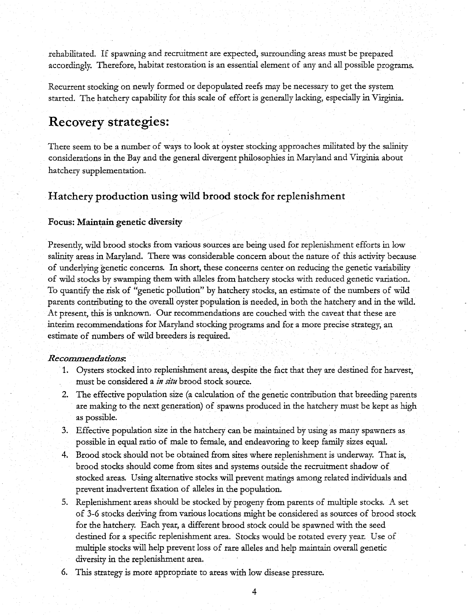rehabilitated. If spawning and recruitment are expected, surrounding areas must be prepared accordingly. Therefore, habitat restoration is an essential element of any and all possible programs.

Recurrent stocking on newly formed or depopulated reefs may be necessary to get the system started. The hatchery capability for this scale of effort is generally lacking, especially in Virginia.

### **Recovery strategies:**

There seem to be a number of ways to look at oyster stocking approaches militated by the salinity considerations in the Bay and the general divergent philosophies in Maryland and Virginia about hatchery supplementation.

#### **Hatchery production using wild brood stock for replenishment**

#### Focus: Maintain genetic diversity

Presently, wild brood stocks from various sources are being used for replenishment efforts in low salinity areas in Maryland. There was considerable concern about the nature of this activity because of underlying genetic concerns. In short, these concerns center on reducing the genetic variability of wild stocks by swamping them with alleles from hatchery stocks with reduced genetic variation. To quantify the risk of "genetic pollution" by hatchery stocks, an estimate of the numbers of wild parents contributing to the overall oyster population is needed, in both the hatchery and in the wild. At present, this is unknown. Our recommendations are couched with the caveat that these are interim recommendations for Maryland stocking programs and for a more precise strategy, an estimate of numbers of wild breeders is required.

#### *Recommendations:*

- 1. Oysters stocked into replenishment areas, despite the fact that they are destined for harvest, must be considered a *in situ* brood stock source.
- 2. The effective population size (a calculation of the genetic contribution that breeding parents are making to the next generation) of spawns produced in the hatchery must be kept as high as possible.
- 3. Effective population size in the hatchery can be maintained by using as many spawners as possible in equal ratio of male to female, and endeavoring to keep family sizes equal.
- 4. Brood stock should not be obtained from sites where replenishment is underway. That is, brood stocks should come from sites and systems outside the recruitment shadow of stocked areas. Using alternative stocks will prevent matings among related individuals and prevent inadvertent fixation of alleles in the population.
- 5. Replenishment areas should be stocked by progeny from parents of multiple stocks. A set of 3-6 stocks deriving from various locations might be considered as sources of brood stock for the hatchery. Each year, a different brood stock could be spawned with the seed destined for a specific replenishment area. Stocks would be rotated every year. Use of multiple stocks will help prevent loss of rare alleles and help maintain overall genetic diversity in the replenishment area.
- 6. This strategy is more appropriate to areas with low disease pressure.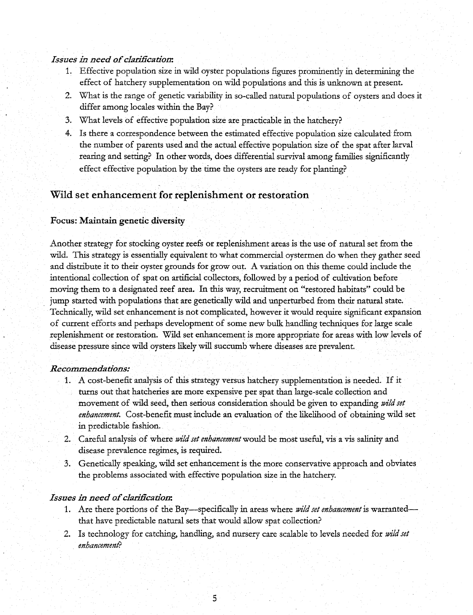#### *Issues in need of clarification:*

- 1. Effective population size in wild oyster populations figures prominently in determining the effect of hatchery supplementation on wild populations and this is unknown at present.
- 2. What is the range of genetic variability in so-called natural populations of oysters and does it differ among locales within the Bay?
- 3. What levels of effective population size are practicable in the hatchery?
- 4. Is there a correspondence between the estimated effective population size calculated from the number of parents used and the actual effective population size of the spat after larval rearing and setting? In other words, does differential survival among families significantly effect effective population by the time the oysters are ready for planting?

#### Wild set enhancement for replenishment or restoration

#### **Focus: Maintain genetic diversity**

Another strategy for stocking oyster reefs or replenishment areas is the use of natural set from the wild. This strategy is essentially equivalent to what commercial oystermen do when they gather seed and distribute it to their oyster grounds for grow out. A variation on this theme could include the intentional collection of spat on artificial collectors, followed by a period of cultivation before moving them to a designated reef area. In this way, recruitment on "restored habitats" could be jump started with populations that are genetically wild and unperturbed from their natural state. Technically, wild set enhancement is not complicated, however it would require significant expansion of current efforts and perhaps development of some new bulk handling techniques for large scale replenishment or restoration. Wild set enhancement is more appropriate for areas with low levels of disease pressure since wild oysters likely will succumb where diseases are prevalent.

#### *Recommendadons:*

- 1. A cost-benefit analysis of this strategy versus hatchery supplementation is needed. If it turns out that hatcheries are more expensive per spat than large-scale collection and movement of wild seed, then serious consideration should be given to expanding *wild set enhancement.* Cost-benefit must include an evaluation of the likelihood of obtaining wild set in predictable fashion.
- **2.** Careful analysis of where *wild set enhancement* would be most useful, vis a vis salinity and disease prevalence regimes, is required.
- 3. Genetically speaking, wild set enhancement is the more conservative approach and obviates the problems associated with effective population size in the hatchery.

#### *Issues in need of clarification:*

- 1. Are there portions of the Bay-specifically in areas where *wild set enhancement* is warrantedthat have predictable natural sets that would allow spat collection?
- 2. Is technology for catching, handling, and nursery care scalable to levels needed for *wild set enhancement?*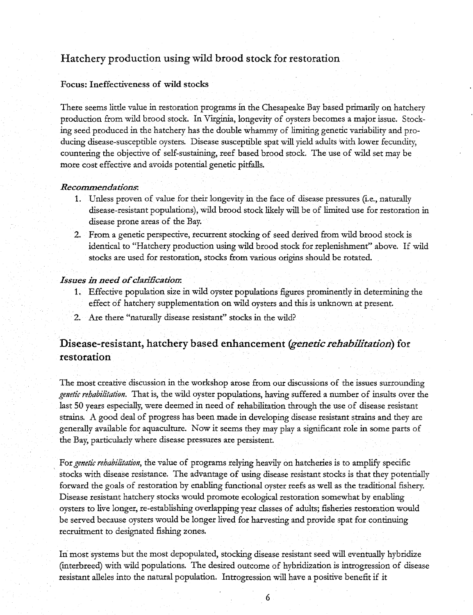#### Hatchery production using wild brood stock for restoration

#### Focus: Ineffectiveness of wild stocks

There seems little value in restoration programs in the Chesapeake Bay based primarily on hatchery production from wild brood stock. In Virginia, longevity of oysters becomes a major issue. Stocking seed produced in the hatchery has the double whammy of limiting genetic variability and producing disease-susceptible oysters. Disease susceptible spat will yield adults with lower fecundity, countering the objective of self-sustaining, reef based brood stock. The use of wild set may be more cost effective and avoids potential genetic pitfalls.

#### *Recommendations:*

- 1. Unless proven of value for their longevity in the face of disease pressures (i.e., naturally disease-resistant populations), wild brood stock likely will be of limited use for restoration in disease prone areas of the Bay.
- 2. From a genetic perspective, recurrent stocking of seed derived from wild brood stock is identical to "Hatchery production using wild brood stock for replenishment" above. If wild stocks are used for restoration, stocks from various origins should be rotated.

#### *Issues in need of clarification:*

- 1. Effective population size in wild oyster populations figures prominently in determining the effect of hatchery supplementation on wild oysters and this is unknown at present.
- 2. Are there "naturally disease resistant" stocks in the wild?

#### Disease-resistant, hatchery based enhancement *(genetic rehabilitation)* for restoration

The most creative discussion in the workshop arose from our discussions of the issues surrounding *genetic rehabilitation.* That is, the wild oyster populations, having suffered a number of insults over the last 50 years especially, were deemed in need of rehabilitation through the use of disease resistant strains. A good deal of progress has been made in developing disease resistant strains and they are generally available for aquaculture. Now it seems they may play a significant role in some parts of the Bay, particularly where disease pressures are persistent.

For *genetic rehabilitation,* the value of programs relying heavily on hatcheries is to amplify specific stocks with disease resistance. The advantage of using disease resistant stocks is that they potentially forward the goals of restoration by enabling functional oyster reefs as well as the traditional fishery. Disease resistant hatchery stocks would promote ecological restoration somewhat by enabling oysters to live longer, re-establishing overlapping year classes of adults; fisheries restoration would be served because oysters would be longer lived for harvesting and provide spat for continuing recruitment to designated fishing zones.

In most systems but the most depopulated, stocking disease resistant seed will eventually hybridize (interbreed) with wild populations. The desired outcome of hybridization is introgression of disease resistant alleles into the natural population. Introgression will have a positive benefit if it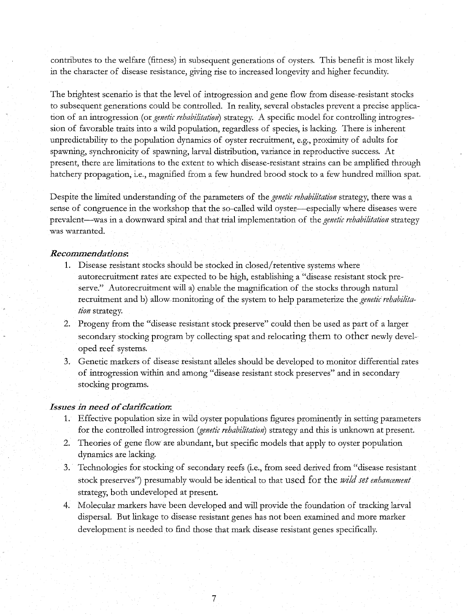contributes to the welfare (fitness) in subsequent generations of oysters. This benefit is most likely in the character of disease resistance, giving rise to increased longevity and higher fecundity.

The brightest scenario is that the level of introgression and gene flow from disease-resistant stocks to subsequent generations could be controlled. In reality, several obstacles prevent a precise application of an introgression (or *genetic rehabilitation*) strategy. A specific model for controlling introgression of favorable traits into a wild population, regardless of species, is lacking. There is inherent unpredictability to the population dynamics of oyster recruitment, e.g., proximity of adults for spawning, synchronicity of spawning, larval distribution, variance in reproductive success. At present, there are limitations to the extent to which disease-resistant strains can be amplified through hatchery propagation, i.e., magnified from a few hundred brood stock to a few hundred million spat.

Despite the limited understanding of the parameters of the *genetic rehabilitation* strategy, there was a sense of congruence in the workshop that the so-called wild oyster-especially where diseases were prevalent-was in a downward spiral and that trial implementation of the *genetic rehabilitation* strategy was warranted.

#### *Recommendations:*

- 1. Disease resistant stocks should be stocked in closed/ retentive systems where autorecruitment rates are expected to be high, establishing a "disease resistant stock preserve." Autorecruitment will a) enable the magnification of the stocks through natural recruitment and b) allow-monitoring of the system to help parameterize the *genetic rehabilitation* strategy.
- 2. Progeny from the "disease resistant stock preserve" could then be used as part of a larger secondary stocking program by collecting spat and relocating them to other newly developed reef systems.
- 3. Genetic markers of disease resistant alleles should be developed to monitor differential rates of introgression within and among "disease resistant stock preserves" and in secondary stocking programs.

#### *Issues in need of clarification:*

- 1. Effective population size in wild oyster populations figures prominently in setting parameters for the controlled introgression *(genetic rehabilitation)* strategy and this is unknown at present.
- 2. Theories of gene flow are abundant, but specific models that apply to oyster population dynamics are lacking.
- 3. Technologies for stocking of secondary reefs (i.e., from seed derived from "disease resistant stock preserves") presumably would be identical to that used for the *wild set enhancement*  strategy, both undeveloped at present.
- 4. Molecular markers have been developed and will provide the foundation of tracking larval dispersal. But linkage to disease resistant genes has not been examined and more marker development is needed to find those that mark disease resistant genes specifically.

7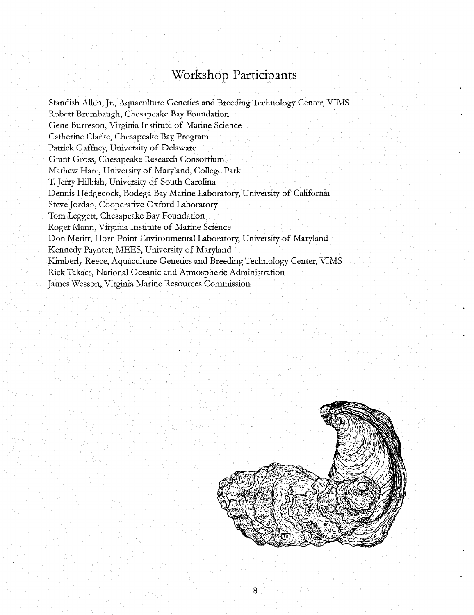# **Workshop Participants**

Standish Allen, Jr., Aquaculture Genetics and Breeding Technology Center, VIMS Robert Brumbaugh, Chesapeake Bay Foundation Gene Burreson, Virginia Institute of Marine Science Catherine Clarke, Chesapeake Bay Program Patrick Gaffney, University of Delaware Grant Gross, Chesapeake Research Consortium Mathew Hare, University of Maryland, College Park T. Jerry Hilbish, University of South Carolina Dennis Hedgecock, Bodega Bay Marine Laboratory, University of California Steve Jordan, Cooperative Oxford Laboratory Tom Leggett, Chesapeake Bay Foundation Roger Mann, Virginia Institute of Marine Science Don Meritt, Horn Point Environmental Laboratory, University of Maryland Kennedy Paynter, MEES, University of Maryland Kimberly Reece, Aquaculture Genetics and Breeding Technology Center, VIMS Rick Takacs, National Oceanic and Atmospheric Administration James Wesson, Virginia Marine Resources Commission

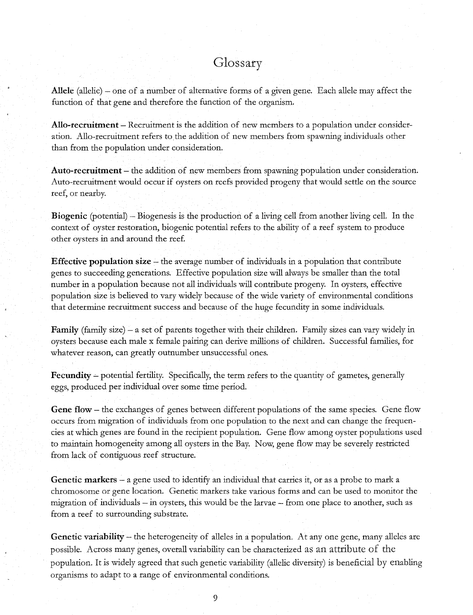# Glossary

**Allele** (allelic) - one of a number of alternative forms of a given gene. Each allele may affect the function of that gene and therefore the function of the organism.

**Ano-recruitment** - Recruitment is the addition of new members to a population under consideration. Allo-recruitment refers to. the addition of new members from spawning individuals other than from the population under consideration.

**Auto-recruitment** - the addition of new members from spawning population under consideration. Auto-recruitment would occur if oysters on reefs provided progeny that would settle on the source reef, or nearby.

**Biogenic** (potential) - Biogenesis is the production of a living cell from another living cell. In the context of oyster restoration, biogenic potential refers to the ability of a reef system to produce other oysters in and around the ree£

**Effective population size** – the average number of individuals in a population that contribute genes to succeeding generations. Effective population size will always be smaller than the total number in a population because not all individuals will contribute progeny. In oysters, effective population size is believed to vary widely because of the wide variety of environmental conditions that determine recruitment success and because of the huge fecundity in some individuals.

**Family** (family size) – a set of parents together with their children. Family sizes can vary widely in oysters because each male x female pairing can derive millions of children. Successful families, for whatever reason, can greatly outnumber unsuccessful ones.

**Fecundity** – potential fertility. Specifically, the term refers to the quantity of gametes, generally eggs, produced per individual over some time period.

**Gene flow** - the exchanges of genes between different populations of the same species. Gene flow occurs from migration of individuals from one population to the next and can change the frequencies at which genes are found in the recipient population. Gene flow among oyster populations used to maintain homogeneity among all oysters in the Bay. Now, gene flow may be severely restricted from lack of contiguous reef structure.

**Genetic markers** - a gene used to identify an individual that carries it, or as a probe to mark a chromosome or gene location. Genetic markers take various forms and can be used to monitor the migration of individuals – in oysters, this would be the larvae – from one place to another, such as from a reef to surrounding substrate.

**Genetic variability-** the heterogeneity of alleles in a population. At any one gene, many alleles are possible. Across many genes, overall variability can be characterized as an attribute of the population. It is widely agreed that such genetic variability (allelic diversity) is beneficial by enabling organisms to adapt to a range of environmental conditions.

9